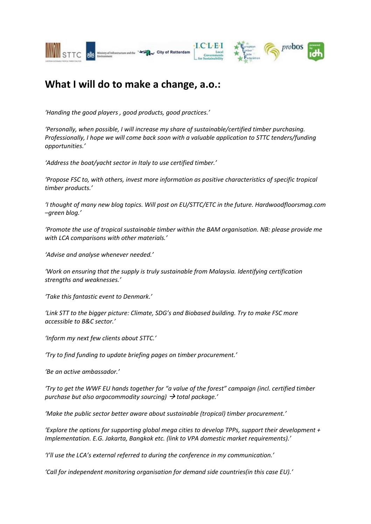

## **What I will do to make a change, a.o.:**

*'Handing the good players , good products, good practices.'*

*'Personally, when possible, I will increase my share of sustainable/certified timber purchasing. Professionally, I hope we will come back soon with a valuable application to STTC tenders/funding opportunities.'*

*'Address the boat/yacht sector in Italy to use certified timber.'*

*'Propose FSC to, with others, invest more information as positive characteristics of specific tropical timber products.'*

*'I thought of many new blog topics. Will post on EU/STTC/ETC in the future. Hardwoodfloorsmag.com –green blog.'*

*'Promote the use of tropical sustainable timber within the BAM organisation. NB: please provide me with LCA comparisons with other materials.'*

*'Advise and analyse whenever needed.'*

*'Work on ensuring that the supply is truly sustainable from Malaysia. Identifying certification strengths and weaknesses.'*

*'Take this fantastic event to Denmark.'*

*'Link STT to the bigger picture: Climate, SDG's and Biobased building. Try to make FSC more accessible to B&C sector.'*

*'Inform my next few clients about STTC.'*

*'Try to find funding to update briefing pages on timber procurement.'*

*'Be an active ambassador.'*

*'Try to get the WWF EU hands together for "a value of the forest" campaign (incl. certified timber purchase but also argocommodity sourcing) total package.'*

*'Make the public sector better aware about sustainable (tropical) timber procurement.'*

*'Explore the options for supporting global mega cities to develop TPPs, support their development + Implementation. E.G. Jakarta, Bangkok etc. (link to VPA domestic market requirements).'*

*'I'll use the LCA's external referred to during the conference in my communication.'*

*'Call for independent monitoring organisation for demand side countries(in this case EU).'*